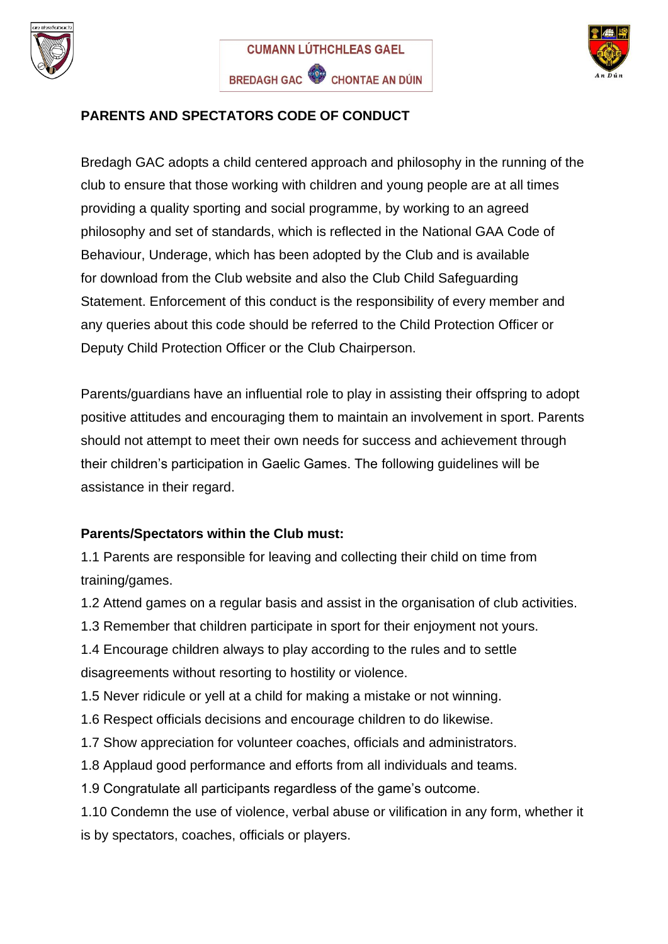





## **PARENTS AND SPECTATORS CODE OF CONDUCT**

Bredagh GAC adopts a child centered approach and philosophy in the running of the club to ensure that those working with children and young people are at all times providing a quality sporting and social programme, by working to an agreed philosophy and set of standards, which is reflected in the National GAA Code of Behaviour, Underage, which has been adopted by the Club and is available for download from the Club website and also the Club Child Safeguarding Statement. Enforcement of this conduct is the responsibility of every member and any queries about this code should be referred to the Child Protection Officer or Deputy Child Protection Officer or the Club Chairperson.

Parents/guardians have an influential role to play in assisting their offspring to adopt positive attitudes and encouraging them to maintain an involvement in sport. Parents should not attempt to meet their own needs for success and achievement through their children's participation in Gaelic Games. The following guidelines will be assistance in their regard.

## **Parents/Spectators within the Club must:**

1.1 Parents are responsible for leaving and collecting their child on time from training/games.

1.2 Attend games on a regular basis and assist in the organisation of club activities.

1.3 Remember that children participate in sport for their enjoyment not yours.

1.4 Encourage children always to play according to the rules and to settle disagreements without resorting to hostility or violence.

1.5 Never ridicule or yell at a child for making a mistake or not winning.

- 1.6 Respect officials decisions and encourage children to do likewise.
- 1.7 Show appreciation for volunteer coaches, officials and administrators.
- 1.8 Applaud good performance and efforts from all individuals and teams.
- 1.9 Congratulate all participants regardless of the game's outcome.

1.10 Condemn the use of violence, verbal abuse or vilification in any form, whether it is by spectators, coaches, officials or players.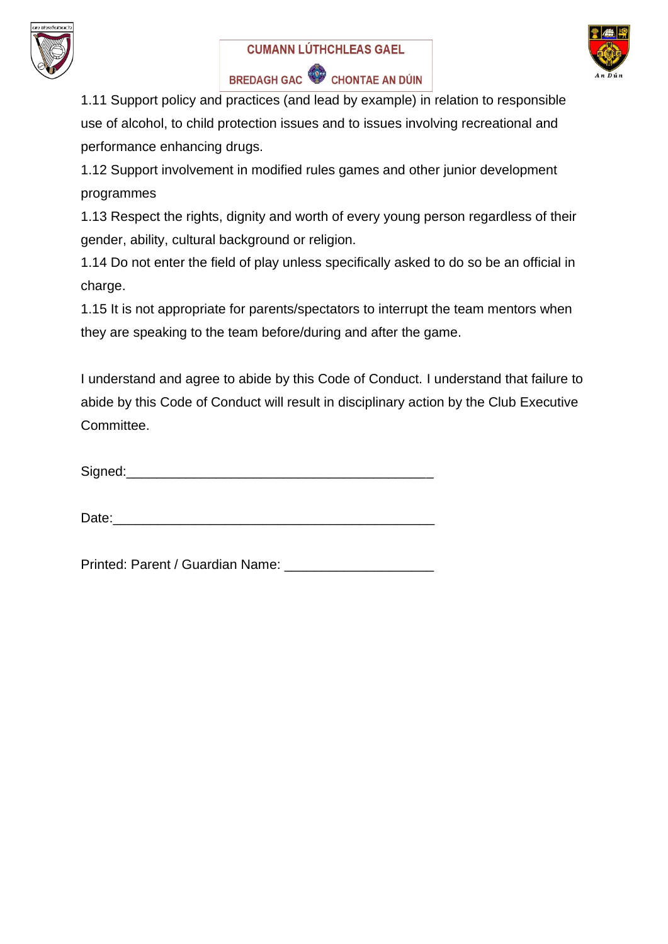





1.11 Support policy and practices (and lead by example) in relation to responsible use of alcohol, to child protection issues and to issues involving recreational and performance enhancing drugs.

1.12 Support involvement in modified rules games and other junior development programmes

1.13 Respect the rights, dignity and worth of every young person regardless of their gender, ability, cultural background or religion.

1.14 Do not enter the field of play unless specifically asked to do so be an official in charge.

1.15 It is not appropriate for parents/spectators to interrupt the team mentors when they are speaking to the team before/during and after the game.

I understand and agree to abide by this Code of Conduct. I understand that failure to abide by this Code of Conduct will result in disciplinary action by the Club Executive **Committee.** 

 $Signed:$ 

Date:

Printed: Parent / Guardian Name: \_\_\_\_\_\_\_\_\_\_\_\_\_\_\_\_\_\_\_\_